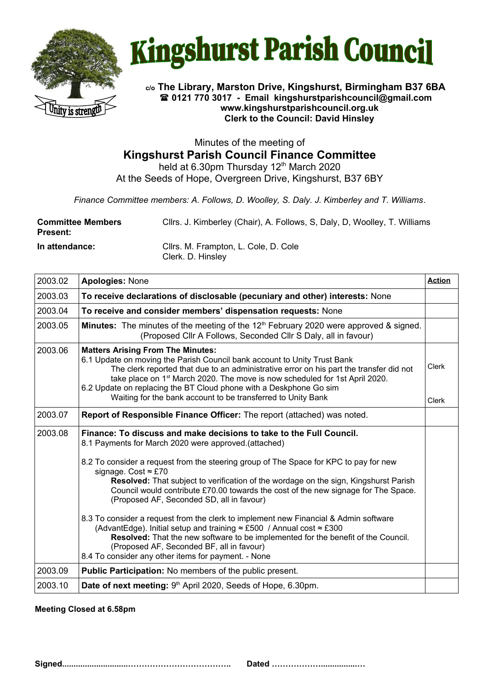



## **c/o The Library, Marston Drive, Kingshurst, Birmingham B37 6BA 0121 770 3017 - Email [kingshurstparishcouncil@gmail.com](mailto:kingshurstparishcouncil@gmail.com) www.kingshurstparishcouncil.org.uk Clerk to the Council: David Hinsley**

Minutes of the meeting of **Kingshurst Parish Council Finance Committee**

held at 6.30pm Thursday 12<sup>th</sup> March 2020 At the Seeds of Hope, Overgreen Drive, Kingshurst, B37 6BY

*Finance Committee members: A. Follows, D. Woolley, S. Daly. J. Kimberley and T. Williams*.

| <b>Committee Members</b><br><b>Present:</b> | Cllrs. J. Kimberley (Chair), A. Follows, S. Daly, D. Woolley, T. Williams |
|---------------------------------------------|---------------------------------------------------------------------------|
| In attendance:                              | Cllrs. M. Frampton, L. Cole, D. Cole<br>Clerk. D. Hinsley                 |

| 2003.02 | <b>Apologies: None</b>                                                                                                                                                                                                                                                                                                                                                                                                                           | <b>Action</b>         |
|---------|--------------------------------------------------------------------------------------------------------------------------------------------------------------------------------------------------------------------------------------------------------------------------------------------------------------------------------------------------------------------------------------------------------------------------------------------------|-----------------------|
| 2003.03 | To receive declarations of disclosable (pecuniary and other) interests: None                                                                                                                                                                                                                                                                                                                                                                     |                       |
| 2003.04 | To receive and consider members' dispensation requests: None                                                                                                                                                                                                                                                                                                                                                                                     |                       |
| 2003.05 | <b>Minutes:</b> The minutes of the meeting of the $12th$ February 2020 were approved & signed.<br>(Proposed Cllr A Follows, Seconded Cllr S Daly, all in favour)                                                                                                                                                                                                                                                                                 |                       |
| 2003.06 | <b>Matters Arising From The Minutes:</b><br>6.1 Update on moving the Parish Council bank account to Unity Trust Bank<br>The clerk reported that due to an administrative error on his part the transfer did not<br>take place on 1 <sup>st</sup> March 2020. The move is now scheduled for 1st April 2020.<br>6.2 Update on replacing the BT Cloud phone with a Deskphone Go sim<br>Waiting for the bank account to be transferred to Unity Bank | <b>Clerk</b><br>Clerk |
| 2003.07 | Report of Responsible Finance Officer: The report (attached) was noted.                                                                                                                                                                                                                                                                                                                                                                          |                       |
| 2003.08 | Finance: To discuss and make decisions to take to the Full Council.<br>8.1 Payments for March 2020 were approved. (attached)                                                                                                                                                                                                                                                                                                                     |                       |
|         | 8.2 To consider a request from the steering group of The Space for KPC to pay for new<br>signage. Cost $\approx$ £70<br>Resolved: That subject to verification of the wordage on the sign, Kingshurst Parish<br>Council would contribute £70.00 towards the cost of the new signage for The Space.<br>(Proposed AF, Seconded SD, all in favour)                                                                                                  |                       |
|         | 8.3 To consider a request from the clerk to implement new Financial & Admin software<br>(AdvantEdge). Initial setup and training $\approx$ £500 / Annual cost $\approx$ £300<br>Resolved: That the new software to be implemented for the benefit of the Council.<br>(Proposed AF, Seconded BF, all in favour)<br>8.4 To consider any other items for payment. - None                                                                            |                       |
| 2003.09 | <b>Public Participation:</b> No members of the public present.                                                                                                                                                                                                                                                                                                                                                                                   |                       |
| 2003.10 | Date of next meeting: 9th April 2020, Seeds of Hope, 6.30pm.                                                                                                                                                                                                                                                                                                                                                                                     |                       |

**Meeting Closed at 6.58pm**

**Signed.............................……………………………….. Dated ………………................…**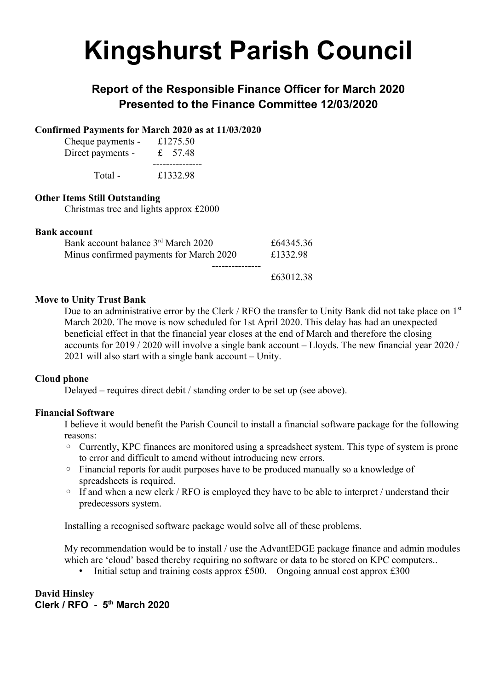# **Kingshurst Parish Council**

# **Report of the Responsible Finance Officer for March 2020 Presented to the Finance Committee 12/03/2020**

# **Confirmed Payments for March 2020 as at 11/03/2020**

| Cheque payments - | £1275.50  |
|-------------------|-----------|
| Direct payments - | £ $57.48$ |
| Total -           | £1332.98  |

# **Other Items Still Outstanding**

Christmas tree and lights approx £2000

### **Bank account**

| Minus confirmed payments for March 2020         | £1332.98  |
|-------------------------------------------------|-----------|
| Bank account balance 3 <sup>rd</sup> March 2020 | £64345.36 |

£63012.38

### **Move to Unity Trust Bank**

Due to an administrative error by the Clerk / RFO the transfer to Unity Bank did not take place on 1<sup>st</sup> March 2020. The move is now scheduled for 1st April 2020. This delay has had an unexpected beneficial effect in that the financial year closes at the end of March and therefore the closing accounts for 2019 / 2020 will involve a single bank account – Lloyds. The new financial year 2020 / 2021 will also start with a single bank account – Unity.

### **Cloud phone**

Delayed – requires direct debit / standing order to be set up (see above).

### **Financial Software**

I believe it would benefit the Parish Council to install a financial software package for the following reasons:

- Currently, KPC finances are monitored using a spreadsheet system. This type of system is prone to error and difficult to amend without introducing new errors.
- Financial reports for audit purposes have to be produced manually so a knowledge of spreadsheets is required.
- If and when a new clerk / RFO is employed they have to be able to interpret / understand their predecessors system.

Installing a recognised software package would solve all of these problems.

My recommendation would be to install / use the AdvantEDGE package finance and admin modules which are 'cloud' based thereby requiring no software or data to be stored on KPC computers..

• Initial setup and training costs approx £500. Ongoing annual cost approx £300

**David Hinsley Clerk / RFO - 5th March 2020**